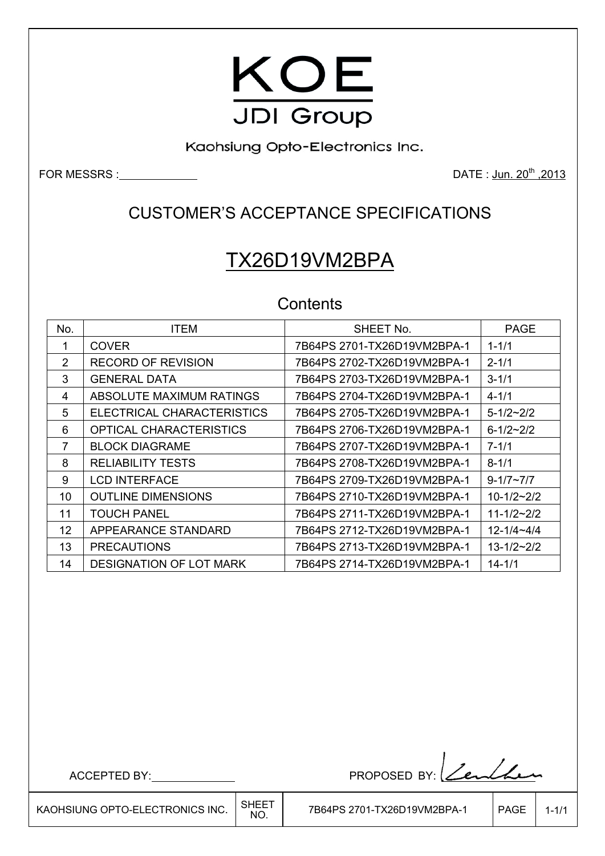

Kaohsiung Opto-Electronics Inc.

FOR MESSRS : DATE : Jun. 20<sup>th</sup> ,2013

### CUSTOMER'S ACCEPTANCE SPECIFICATIONS

# TX26D19VM2BPA

### **Contents**

| No.           | <b>ITEM</b>                    | SHEET No.                   | <b>PAGE</b>         |
|---------------|--------------------------------|-----------------------------|---------------------|
| 1             | <b>COVER</b>                   | 7B64PS 2701-TX26D19VM2BPA-1 | $1 - 1/1$           |
| $\mathcal{P}$ | <b>RECORD OF REVISION</b>      | 7B64PS 2702-TX26D19VM2BPA-1 | $2 - 1/1$           |
| 3             | <b>GENERAL DATA</b>            |                             | $3 - 1/1$           |
| 4             | ABSOLUTE MAXIMUM RATINGS       | 7B64PS 2704-TX26D19VM2BPA-1 | $4 - 1/1$           |
| 5             | ELECTRICAL CHARACTERISTICS     | 7B64PS 2705-TX26D19VM2BPA-1 | $5 - 1/2 \sim 2/2$  |
| 6             | OPTICAL CHARACTERISTICS        |                             | $6 - 1/2 - 2/2$     |
| 7             | <b>BLOCK DIAGRAME</b>          | 7B64PS 2707-TX26D19VM2BPA-1 | $7 - 1/1$           |
| 8             | <b>RELIABILITY TESTS</b>       | 7B64PS 2708-TX26D19VM2BPA-1 | $8 - 1/1$           |
| 9             | <b>LCD INTERFACE</b>           | 7B64PS 2709-TX26D19VM2BPA-1 | $9 - 1/7 - 7/7$     |
| 10            | <b>OUTLINE DIMENSIONS</b>      | 7B64PS 2710-TX26D19VM2BPA-1 | $10 - 1/2 - 2/2$    |
| 11            | <b>TOUCH PANEL</b>             | 7B64PS 2711-TX26D19VM2BPA-1 | $11 - 1/2 - 2/2$    |
| 12            | APPEARANCE STANDARD            |                             | $12 - 1/4 - 4/4$    |
| 13            | <b>PRECAUTIONS</b>             | 7B64PS 2713-TX26D19VM2BPA-1 | $13 - 1/2 \sim 2/2$ |
| 14            | <b>DESIGNATION OF LOT MARK</b> | 7B64PS 2714-TX26D19VM2BPA-1 | $14 - 1/1$          |

├

ACCEPTED BY: PROPOSED BY: <u>Len</u>ther

KAOHSIUNG OPTO-ELECTRONICS INC.  $\Big|\substack{\text{SHEET} \ \text{NO.}}$ 

7B64PS 2701-TX26D19VM2BPA-1 | PAGE | 1-1/1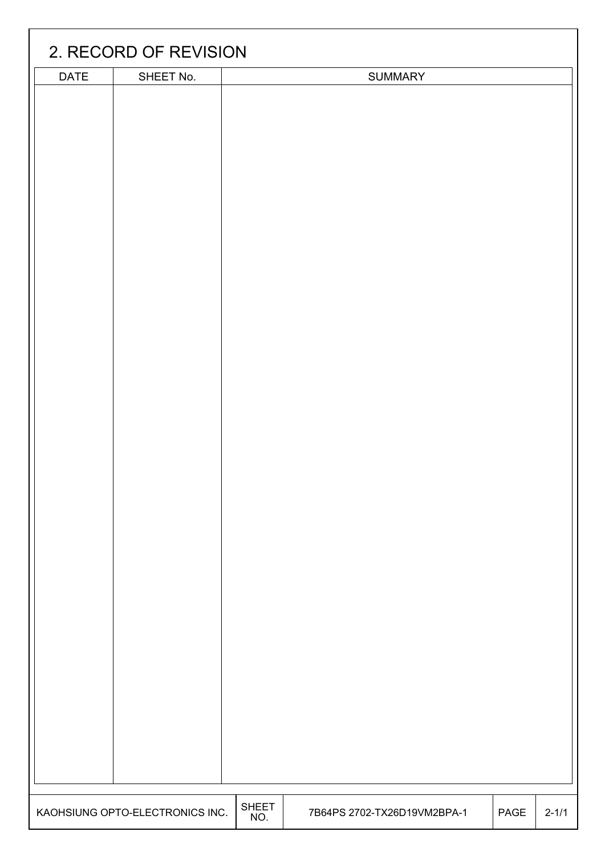|             | 2. RECORD OF REVISION           |              |                             |      |           |
|-------------|---------------------------------|--------------|-----------------------------|------|-----------|
|             |                                 |              |                             |      |           |
| <b>DATE</b> | SHEET No.                       |              | <b>SUMMARY</b>              |      |           |
|             |                                 | <b>SHEET</b> |                             |      |           |
|             | KAOHSIUNG OPTO-ELECTRONICS INC. |              | 7B64PS 2702-TX26D19VM2BPA-1 | PAGE | $2 - 1/1$ |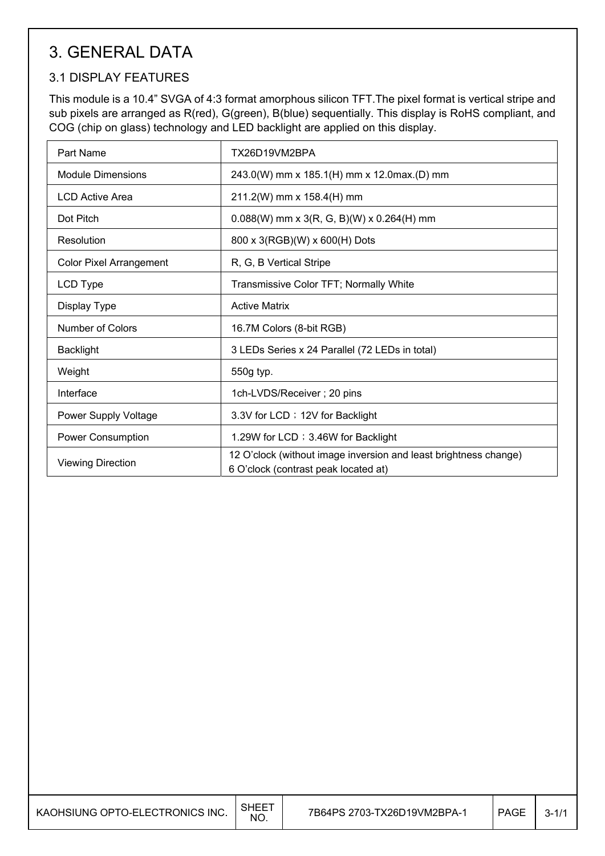### 3. GENERAL DATA

#### 3.1 DISPLAY FEATURES

This module is a 10.4" SVGA of 4:3 format amorphous silicon TFT.The pixel format is vertical stripe and sub pixels are arranged as R(red), G(green), B(blue) sequentially. This display is RoHS compliant, and COG (chip on glass) technology and LED backlight are applied on this display.

| Part Name                      | TX26D19VM2BPA                                                                                            |
|--------------------------------|----------------------------------------------------------------------------------------------------------|
| <b>Module Dimensions</b>       | 243.0(W) mm x 185.1(H) mm x 12.0max.(D) mm                                                               |
| <b>LCD Active Area</b>         | 211.2(W) mm x 158.4(H) mm                                                                                |
| Dot Pitch                      | $0.088(W)$ mm x 3(R, G, B)(W) x 0.264(H) mm                                                              |
| Resolution                     | 800 x 3(RGB)(W) x 600(H) Dots                                                                            |
| <b>Color Pixel Arrangement</b> | R, G, B Vertical Stripe                                                                                  |
| LCD Type                       | Transmissive Color TFT; Normally White                                                                   |
| Display Type                   | <b>Active Matrix</b>                                                                                     |
| <b>Number of Colors</b>        | 16.7M Colors (8-bit RGB)                                                                                 |
| <b>Backlight</b>               | 3 LEDs Series x 24 Parallel (72 LEDs in total)                                                           |
| Weight                         | 550g typ.                                                                                                |
| Interface                      | 1ch-LVDS/Receiver; 20 pins                                                                               |
| Power Supply Voltage           | 3.3V for LCD ; 12V for Backlight                                                                         |
| Power Consumption              | 1.29W for LCD; 3.46W for Backlight                                                                       |
| <b>Viewing Direction</b>       | 12 O'clock (without image inversion and least brightness change)<br>6 O'clock (contrast peak located at) |

 $\overline{\phantom{a}}$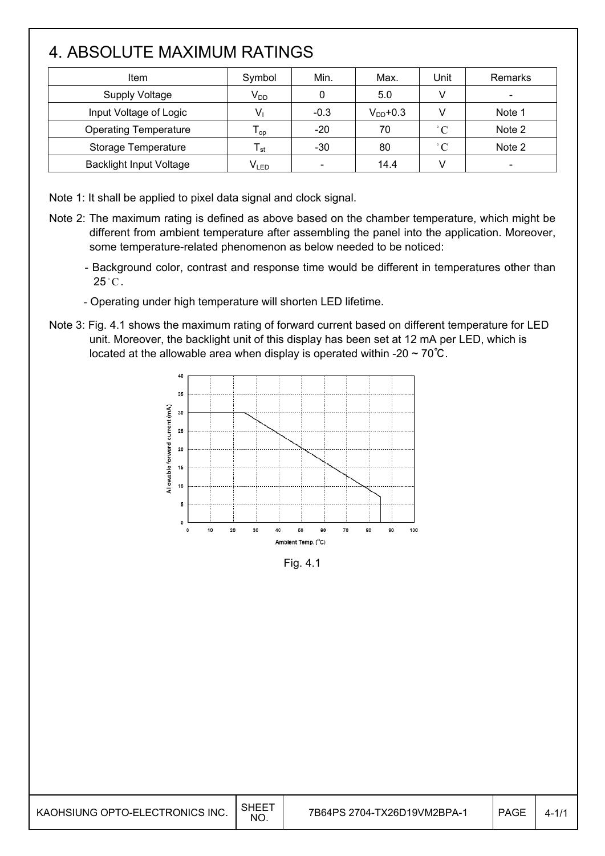## 4. ABSOLUTE MAXIMUM RATINGS

| Item                           | Symbol          | Min.   | Max.          | Unit        | Remarks |
|--------------------------------|-----------------|--------|---------------|-------------|---------|
| <b>Supply Voltage</b>          | V <sub>DD</sub> |        | 5.0           |             |         |
| Input Voltage of Logic         |                 | $-0.3$ | $V_{DD}$ +0.3 |             | Note 1  |
| <b>Operating Temperature</b>   | l op            | $-20$  | 70            | $\degree$ C | Note 2  |
| Storage Temperature            | l st            | $-30$  | 80            | $^{\circ}C$ | Note 2  |
| <b>Backlight Input Voltage</b> | $V_{LED}$       |        | 14.4          |             |         |

Note 1: It shall be applied to pixel data signal and clock signal.

I

I

- Note 2: The maximum rating is defined as above based on the chamber temperature, which might be different from ambient temperature after assembling the panel into the application. Moreover, some temperature-related phenomenon as below needed to be noticed:
	- Background color, contrast and response time would be different in temperatures other than  $25^{\circ}$ C.
	- Operating under high temperature will shorten LED lifetime.
- Note 3: Fig. 4.1 shows the maximum rating of forward current based on different temperature for LED unit. Moreover, the backlight unit of this display has been set at 12 mA per LED, which is located at the allowable area when display is operated within -20  $\sim$  70°C.



Fig. 4.1

| KAOHSIUNG OPTO-ELECTRONICS INC. | SHEE <sup>-</sup><br><b>NO</b> | 7B64PS 2704-TX26D19VM2BPA-1 | PAGE | 4-1/1 |
|---------------------------------|--------------------------------|-----------------------------|------|-------|
|---------------------------------|--------------------------------|-----------------------------|------|-------|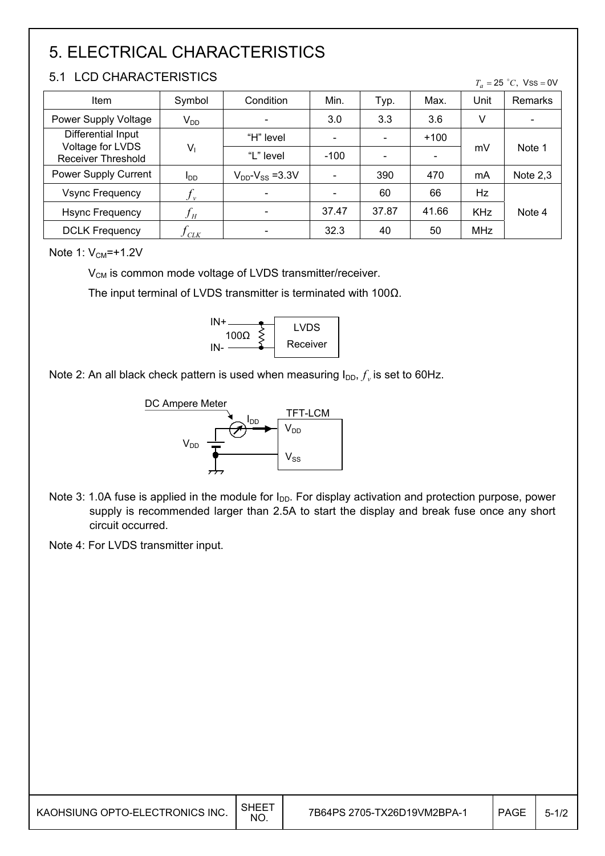## 5. ELECTRICAL CHARACTERISTICS

#### 5.1 LCD CHARACTERISTICS

 $T_a = 25 °C$ , Vss = 0V

| <b>Item</b>                                   | Symbol                 | Condition                 | Min.   | Typ.  | Max.   | Unit       | Remarks                      |
|-----------------------------------------------|------------------------|---------------------------|--------|-------|--------|------------|------------------------------|
| Power Supply Voltage                          | $V_{DD}$               |                           | 3.0    | 3.3   | 3.6    | V          | $\qquad \qquad \blacksquare$ |
| Differential Input                            |                        | "H" level                 |        |       | $+100$ |            |                              |
| Voltage for LVDS<br><b>Receiver Threshold</b> | $V_1$                  | "L" level                 | $-100$ |       |        | mV         | Note 1                       |
| Power Supply Current                          | <b>I</b> <sub>DD</sub> | $V_{DD}$ - $V_{SS}$ =3.3V |        | 390   | 470    | mA         | Note $2,3$                   |
| <b>Vsync Frequency</b>                        | $J_{\nu}$              |                           |        | 60    | 66     | Hz         |                              |
| <b>Hsync Frequency</b>                        | $f_H$                  |                           | 37.47  | 37.87 | 41.66  | <b>KHz</b> | Note 4                       |
| <b>DCLK Frequency</b>                         | CLK                    |                           | 32.3   | 40    | 50     | <b>MHz</b> |                              |

Note 1:  $V_{CM} = +1.2V$ 

 $V_{CM}$  is common mode voltage of LVDS transmitter/receiver.

The input terminal of LVDS transmitter is terminated with 100 $\Omega$ .



Note 2: An all black check pattern is used when measuring  $I_{DD}$ ,  $f_v$  is set to 60Hz.



- Note 3: 1.0A fuse is applied in the module for I<sub>DD</sub>. For display activation and protection purpose, power supply is recommended larger than 2.5A to start the display and break fuse once any short circuit occurred.
- Note 4: For LVDS transmitter input.

| KAOHSIUNG OPTO-ELECTRONICS INC. $\Big \!\!\big ^{\text{SHEET}}$ |  |
|-----------------------------------------------------------------|--|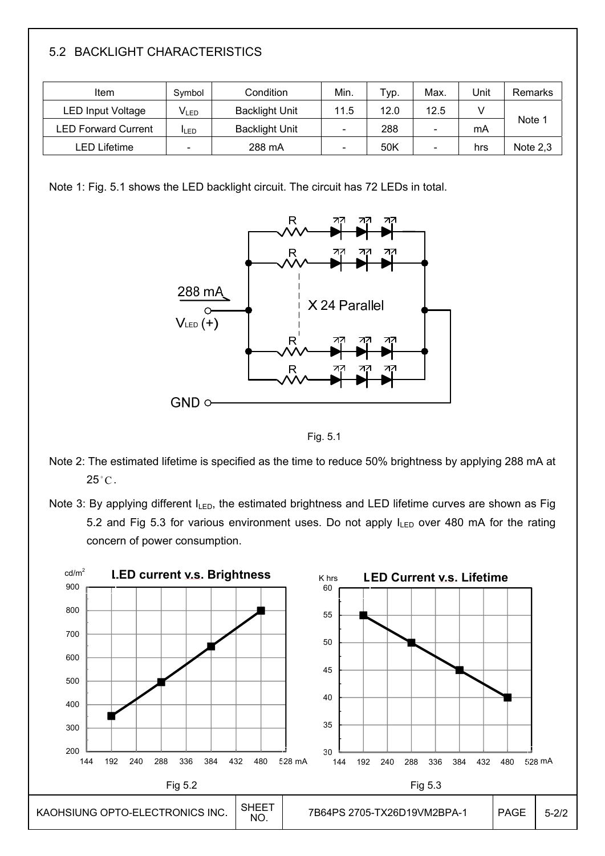#### 5.2 BACKLIGHT CHARACTERISTICS

| Item                       | Symbol       | Condition             | Min. | Typ. | Max                      | Unit | Remarks    |
|----------------------------|--------------|-----------------------|------|------|--------------------------|------|------------|
| <b>LED Input Voltage</b>   | $V_{LED}$    | <b>Backlight Unit</b> | 11.5 | 12.0 | 12.5                     |      |            |
| <b>LED Forward Current</b> | <b>I</b> LED | <b>Backlight Unit</b> |      | 288  | $\overline{\phantom{a}}$ | mA   | Note 1     |
| LED Lifetime               |              | 288 mA                |      | 50K  | -                        | hrs  | Note $2,3$ |

Note 1: Fig. 5.1 shows the LED backlight circuit. The circuit has 72 LEDs in total.



Fig. 5.1

Note 2: The estimated lifetime is specified as the time to reduce 50% brightness by applying 288 mA at  $25^{\circ}$ C.

Note 3: By applying different ILED, the estimated brightness and LED lifetime curves are shown as Fig 5.2 and Fig 5.3 for various environment uses. Do not apply  $I_{LED}$  over 480 mA for the rating concern of power consumption.

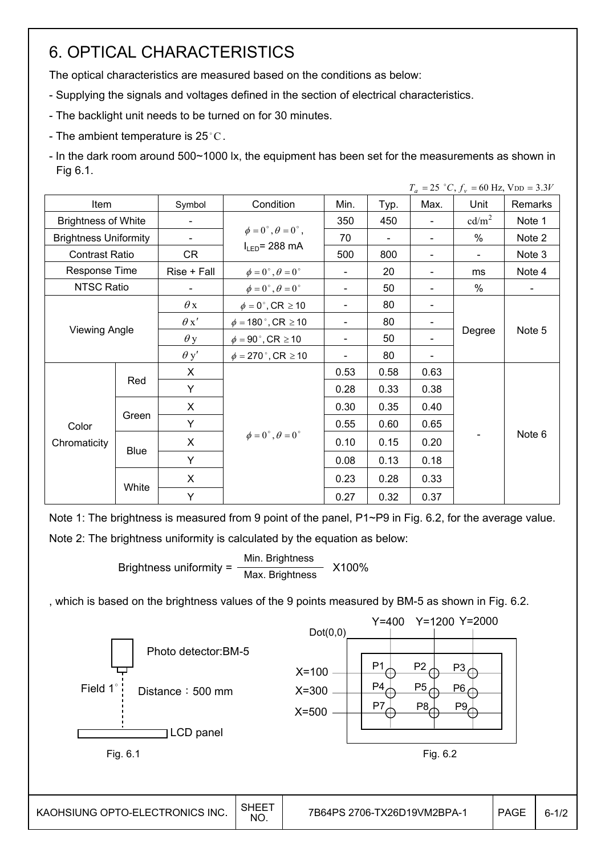### 6. OPTICAL CHARACTERISTICS

The optical characteristics are measured based on the conditions as below:

- Supplying the signals and voltages defined in the section of electrical characteristics.
- The backlight unit needs to be turned on for 30 minutes.
- The ambient temperature is 25 $^{\circ}$ C.
- In the dark room around 500~1000 lx, the equipment has been set for the measurements as shown in Fig 6.1.

|                            |                              |             |                                         |                          |      |                              | $T_a = 25$ °C, $f_v = 60$ Hz, $V_{DD} = 3.3V$ |                |
|----------------------------|------------------------------|-------------|-----------------------------------------|--------------------------|------|------------------------------|-----------------------------------------------|----------------|
| Item                       |                              | Symbol      | Condition                               | Min.                     | Typ. | Max.                         | Unit                                          | Remarks        |
| <b>Brightness of White</b> |                              |             |                                         | 350                      | 450  | $\qquad \qquad \blacksquare$ | cd/m <sup>2</sup>                             | Note 1         |
|                            | <b>Brightness Uniformity</b> |             | $\phi = 0^{\circ}, \theta = 0^{\circ},$ | 70                       |      |                              | $\%$                                          | Note 2         |
| <b>Contrast Ratio</b>      |                              | CR          | $I_{LED}$ = 288 mA                      | 500                      | 800  | $\qquad \qquad \blacksquare$ | $\blacksquare$                                | Note 3         |
| Response Time              |                              | Rise + Fall | $\phi = 0^{\circ}, \theta = 0^{\circ}$  | $\blacksquare$           | 20   |                              | ms                                            | Note 4         |
| <b>NTSC Ratio</b>          |                              |             | $\phi = 0^{\circ}, \theta = 0^{\circ}$  | $\blacksquare$           | 50   | $\overline{\phantom{a}}$     | $\%$                                          | $\blacksquare$ |
|                            |                              | $\theta$ x  | $\phi = 0^\circ$ , CR $\geq 10$         | $\blacksquare$           | 80   |                              |                                               |                |
|                            |                              | $\theta x'$ | $\phi = 180$ °, CR $\geq 10$            | $\blacksquare$           | 80   |                              | Degree                                        | Note 5         |
|                            | <b>Viewing Angle</b>         | $\theta$ y  | $\phi = 90^\circ$ , CR $\geq 10$        | $\overline{\phantom{a}}$ | 50   |                              |                                               |                |
|                            |                              | $\theta$ y' | $\phi = 270$ °, CR $\geq 10$            |                          | 80   |                              |                                               |                |
|                            |                              | X           |                                         | 0.53                     | 0.58 | 0.63                         |                                               |                |
|                            | Red                          | Y           |                                         | 0.28                     | 0.33 | 0.38                         |                                               |                |
|                            |                              | X           |                                         | 0.30                     | 0.35 | 0.40                         |                                               |                |
| Color<br>Chromaticity      | Green                        | Y           |                                         | 0.55                     | 0.60 | 0.65                         |                                               |                |
|                            |                              | X           | $\phi = 0^\circ$ , $\theta = 0^\circ$   | 0.10                     | 0.15 | 0.20                         |                                               | Note 6         |
|                            | <b>Blue</b>                  | Y           |                                         | 0.08                     | 0.13 | 0.18                         |                                               |                |
|                            |                              | X           |                                         | 0.23                     | 0.28 | 0.33                         |                                               |                |
|                            | White                        | Y           |                                         | 0.27                     | 0.32 | 0.37                         |                                               |                |

Note 1: The brightness is measured from 9 point of the panel, P1~P9 in Fig. 6.2, for the average value. Note 2: The brightness uniformity is calculated by the equation as below:

Brightness uniformity = 
$$
\frac{\text{Min.}_{\text{Brightness}}}{\text{Max.}_{\text{Brightness}}}
$$
 X100%

, which is based on the brightness values of the 9 points measured by BM-5 as shown in Fig. 6.2.

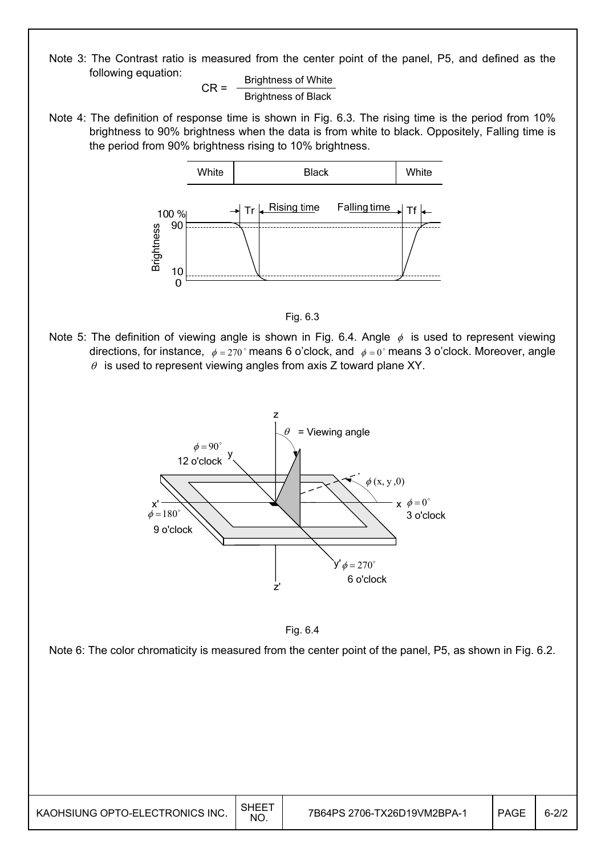Note 3: The Contrast ratio is measured from the center point of the panel, P5, and defined as the following equation:

$$
CR = \frac{Brightness \text{ of White}}{Brightness \text{ of Black}}
$$

Note 4: The definition of response time is shown in Fig. 6.3. The rising time is the period from 10% brightness to 90% brightness when the data is from white to black. Oppositely, Falling time is the period from 90% brightness rising to 10% brightness.





Note 5: The definition of viewing angle is shown in Fig. 6.4. Angle  $\phi$  is used to represent viewing directions, for instance,  $\phi = 270^\circ$  means 6 o'clock, and  $\phi = 0^\circ$  means 3 o'clock. Moreover, angle  $\theta$  is used to represent viewing angles from axis Z toward plane XY.





Note 6: The color chromaticity is measured from the center point of the panel, P5, as shown in Fig. 6.2.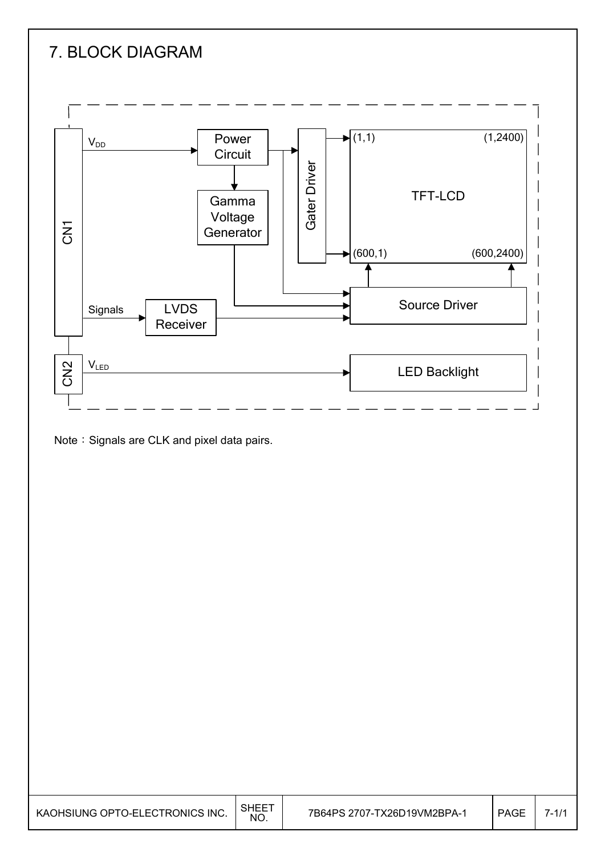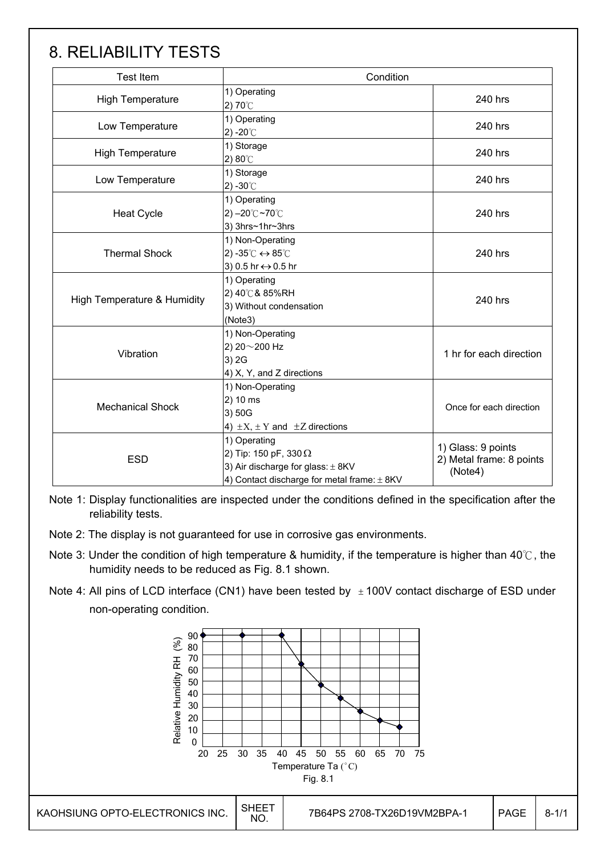### 8. RELIABILITY TESTS

| <b>Test Item</b>            | Condition                                                                                                                            |                                                           |
|-----------------------------|--------------------------------------------------------------------------------------------------------------------------------------|-----------------------------------------------------------|
| <b>High Temperature</b>     | 1) Operating<br>2) $70^{\circ}$ C                                                                                                    | 240 hrs                                                   |
| Low Temperature             | 1) Operating<br>2) -20 $^{\circ}$ C                                                                                                  | 240 hrs                                                   |
| <b>High Temperature</b>     | 1) Storage<br>2) 80°C                                                                                                                | 240 hrs                                                   |
| Low Temperature             | 1) Storage<br>2) -30 $^{\circ}$ C                                                                                                    | 240 hrs                                                   |
| <b>Heat Cycle</b>           | 1) Operating<br>2) $-20^{\circ}$ C ~70 $^{\circ}$ C<br>3) 3hrs~1hr~3hrs                                                              | 240 hrs                                                   |
| <b>Thermal Shock</b>        | 1) Non-Operating<br>2) -35 $\degree$ C $\leftrightarrow$ 85 $\degree$ C<br>3) 0.5 hr ↔ 0.5 hr                                        | 240 hrs                                                   |
| High Temperature & Humidity | 1) Operating<br>2) 40℃& 85%RH<br>3) Without condensation<br>(Note3)                                                                  | 240 hrs                                                   |
| Vibration                   | 1) Non-Operating<br>2) 20~200 Hz<br>3) 2G<br>4) X, Y, and Z directions                                                               | 1 hr for each direction                                   |
| <b>Mechanical Shock</b>     | 1) Non-Operating<br>2) 10 ms<br>3) 50G<br>4) $\pm X$ , $\pm Y$ and $\pm Z$ directions                                                | Once for each direction                                   |
| <b>ESD</b>                  | 1) Operating<br>2) Tip: 150 pF, 330 $\Omega$<br>3) Air discharge for glass: $\pm$ 8KV<br>4) Contact discharge for metal frame: ± 8KV | 1) Glass: 9 points<br>2) Metal frame: 8 points<br>(Note4) |

Note 1: Display functionalities are inspected under the conditions defined in the specification after the reliability tests.

Note 2: The display is not guaranteed for use in corrosive gas environments.

- Note 3: Under the condition of high temperature & humidity, if the temperature is higher than 40 $\degree$ C, the humidity needs to be reduced as Fig. 8.1 shown.
- Note 4: All pins of LCD interface (CN1) have been tested by  $\pm 100V$  contact discharge of ESD under non-operating condition.

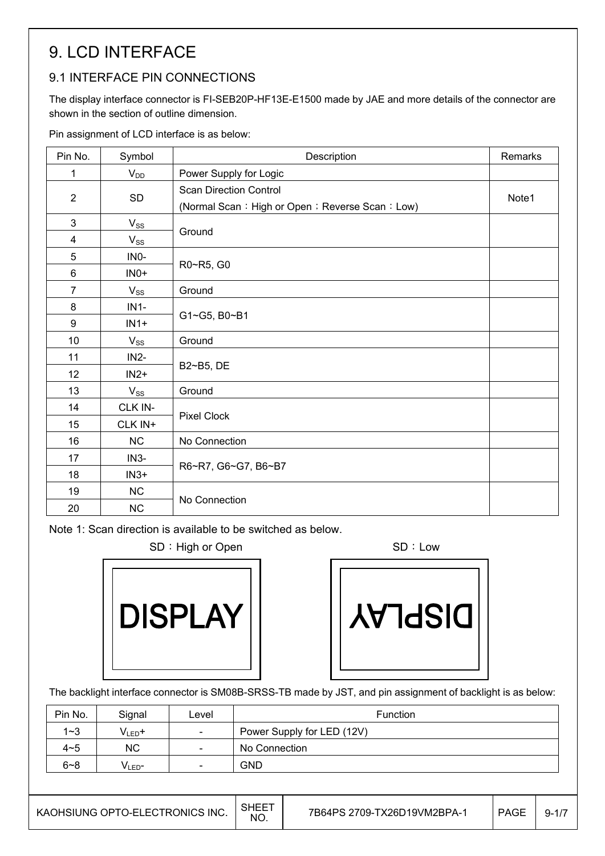## 9. LCD INTERFACE

#### 9.1 INTERFACE PIN CONNECTIONS

The display interface connector is FI-SEB20P-HF13E-E1500 made by JAE and more details of the connector are shown in the section of outline dimension.

Pin assignment of LCD interface is as below:

| Pin No.          | Symbol   | Description                                                                      | Remarks |
|------------------|----------|----------------------------------------------------------------------------------|---------|
| 1                | $V_{DD}$ | Power Supply for Logic                                                           |         |
| 2                | SD       | <b>Scan Direction Control</b><br>(Normal Scan: High or Open ; Reverse Scan: Low) | Note1   |
| 3                | $V_{SS}$ |                                                                                  |         |
| 4                | $V_{SS}$ | Ground                                                                           |         |
| 5                | INO-     |                                                                                  |         |
| 6                | $INO+$   | R0~R5, G0                                                                        |         |
| $\overline{7}$   | $V_{SS}$ | Ground                                                                           |         |
| 8                | $IN1-$   |                                                                                  |         |
| $\boldsymbol{9}$ | $IN1+$   | G1~G5, B0~B1                                                                     |         |
| 10               | $V_{SS}$ | Ground                                                                           |         |
| 11               | $IN2-$   |                                                                                  |         |
| 12               | $IN2+$   | B2~B5, DE                                                                        |         |
| 13               | $V_{SS}$ | Ground                                                                           |         |
| 14               | CLK IN-  |                                                                                  |         |
| 15               | CLK IN+  | Pixel Clock                                                                      |         |
| 16               | NC       | No Connection                                                                    |         |
| 17               | $IN3-$   |                                                                                  |         |
| 18               | $IN3+$   | R6~R7, G6~G7, B6~B7                                                              |         |
| 19               | NC       | No Connection                                                                    |         |
| 20               | NC       |                                                                                  |         |

Note 1: Scan direction is available to be switched as below.

SD : High or Open SD : Low



**VAJ92IO** 

The backlight interface connector is SM08B-SRSS-TB made by JST, and pin assignment of backlight is as below:

| Pin No. | Signal            | Level                    | Function                   |
|---------|-------------------|--------------------------|----------------------------|
| $1 - 3$ | $V_{LED}$ +       | $\sim$                   | Power Supply for LED (12V) |
| $4 - 5$ | <b>NC</b>         | $\overline{\phantom{a}}$ | No Connection              |
| $6 - 8$ | VLED <sup>-</sup> | $\sim$                   | <b>GND</b>                 |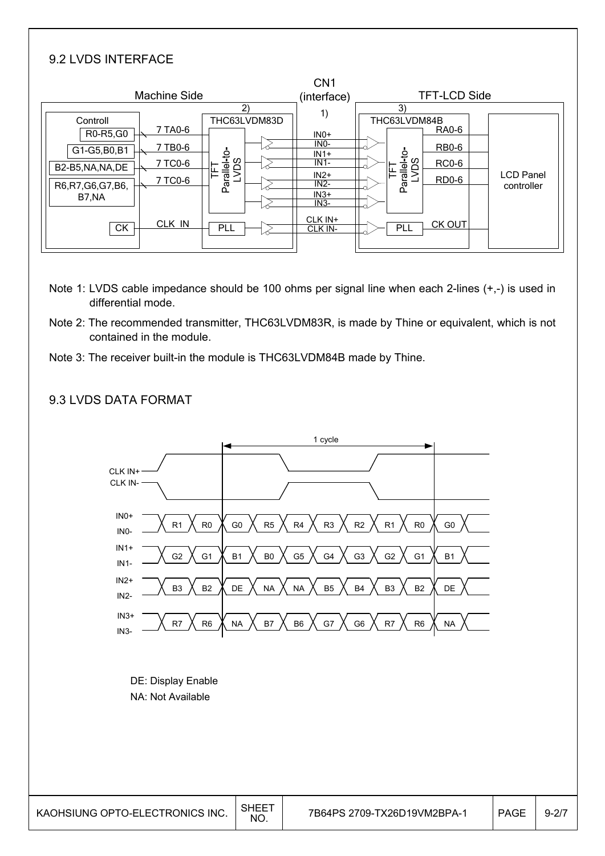#### 9.2 LVDS INTERFACE

|                                                                                          |                                                          |                    |                              | CN <sub>1</sub>                                                                             |                                            |                                                       |  |                                |
|------------------------------------------------------------------------------------------|----------------------------------------------------------|--------------------|------------------------------|---------------------------------------------------------------------------------------------|--------------------------------------------|-------------------------------------------------------|--|--------------------------------|
|                                                                                          |                                                          | (interface)        | <b>TFT-LCD Side</b>          |                                                                                             |                                            |                                                       |  |                                |
| Controll<br>R0-R5,G0<br>G1-G5,B0,B1<br>B2-B5, NA, NA, DE<br>R6, R7, G6, G7, B6,<br>B7.NA | Machine Side<br>7 TA0-6<br>7 TB0-6<br>7 TC0-6<br>7 TC0-6 | Parallel-to-<br>SQ | $\mathbf{2}$<br>THC63LVDM83D | 1)<br>$INO+$<br>INO-<br>$IN1+$<br>$IN1-$<br>$IN2+$<br>$IN2-$<br>$IN3+$<br>$IN3-$<br>CLK IN+ | 3)<br>THC63LVDM84B<br>Parallel-to-<br>LVDS | RA0-6<br><b>RB0-6</b><br><b>RC0-6</b><br><b>RD0-6</b> |  | <b>LCD Panel</b><br>controller |
| <b>CK</b>                                                                                | CLK IN                                                   | <b>PLL</b>         |                              | CLK IN-                                                                                     | PLL                                        | CK OUT                                                |  |                                |

- Note 1: LVDS cable impedance should be 100 ohms per signal line when each 2-lines (+,-) is used in differential mode.
- Note 2: The recommended transmitter, THC63LVDM83R, is made by Thine or equivalent, which is not contained in the module.
- Note 3: The receiver built-in the module is THC63LVDM84B made by Thine.



#### 9.3 LVDS DATA FORMAT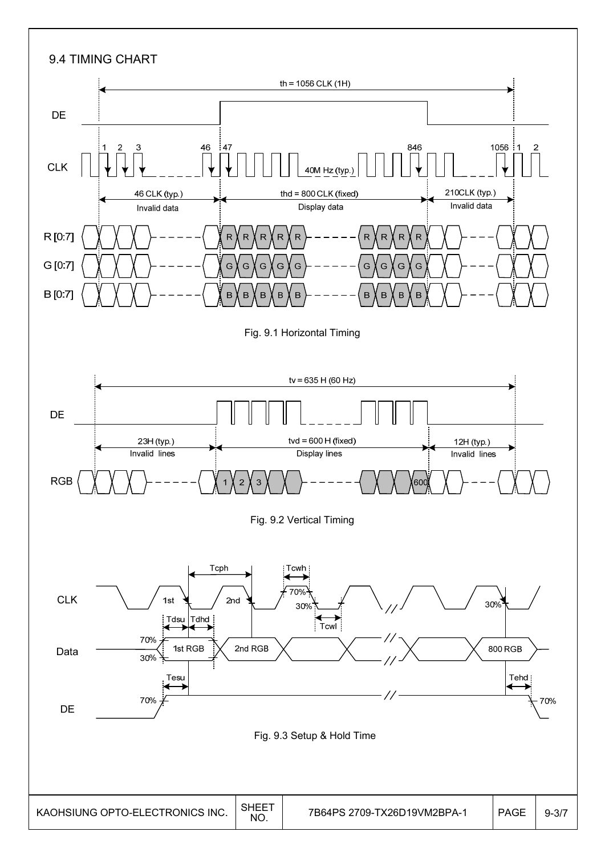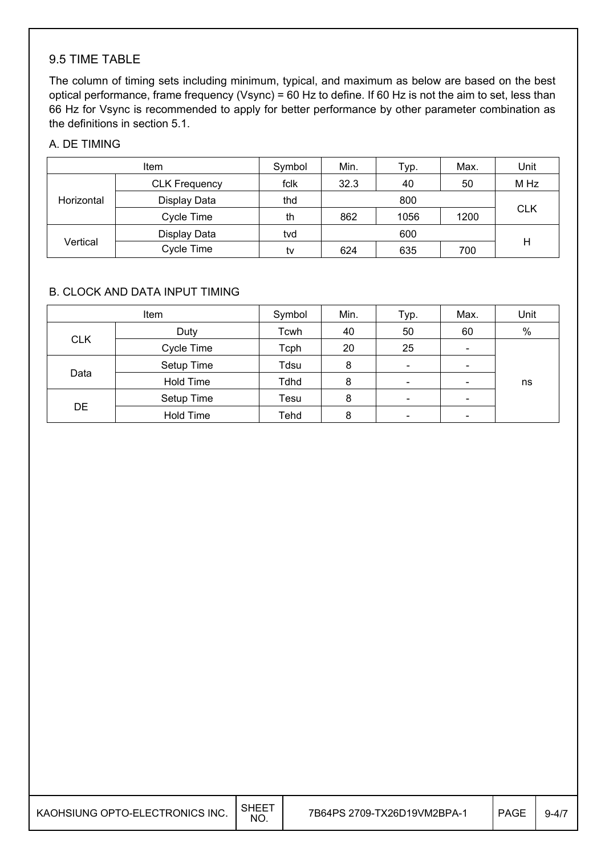#### 9.5 TIME TABLE

The column of timing sets including minimum, typical, and maximum as below are based on the best optical performance, frame frequency (Vsync) = 60 Hz to define. If 60 Hz is not the aim to set, less than 66 Hz for Vsync is recommended to apply for better performance by other parameter combination as the definitions in section 5.1.

#### A. DE TIMING

| <b>Item</b> |                      | Symbol | Min.       | Typ. | Max. | Unit       |  |  |
|-------------|----------------------|--------|------------|------|------|------------|--|--|
| Horizontal  | <b>CLK Frequency</b> | fclk   | 32.3<br>40 |      | 50   | M Hz       |  |  |
|             | Display Data         | thd    |            | 800  |      |            |  |  |
|             | Cycle Time           | th     | 862        | 1056 | 1200 | <b>CLK</b> |  |  |
| Vertical    | Display Data         | tvd    | 600        |      |      |            |  |  |
|             | Cycle Time           | tv     | 624        | 635  | 700  | Н          |  |  |

#### B. CLOCK AND DATA INPUT TIMING

|            | Item             | Symbol | Min. | Typ.                     | Max.                         | Unit |
|------------|------------------|--------|------|--------------------------|------------------------------|------|
|            | Duty             | Tcwh   | 40   | 50                       | 60                           | $\%$ |
| <b>CLK</b> | Cycle Time       | Tcph   | 20   | 25                       | $\qquad \qquad \blacksquare$ |      |
| Data       | Setup Time       | Tdsu   | 8    | $\overline{\phantom{a}}$ | $\qquad \qquad \blacksquare$ |      |
|            | Hold Time        | Tdhd   | 8    | $\overline{\phantom{a}}$ | $\qquad \qquad \blacksquare$ | ns   |
| <b>DE</b>  | Setup Time       | Tesu   | 8    | $\overline{\phantom{a}}$ | $\overline{\phantom{0}}$     |      |
|            | <b>Hold Time</b> | Tehd   | 8    | $\overline{\phantom{0}}$ | -                            |      |

| KAOHSIUNG OPTO-ELECTRONICS INC. $\big  \frac{\text{SHEET}}{\text{NO}}$ |  |
|------------------------------------------------------------------------|--|
|                                                                        |  |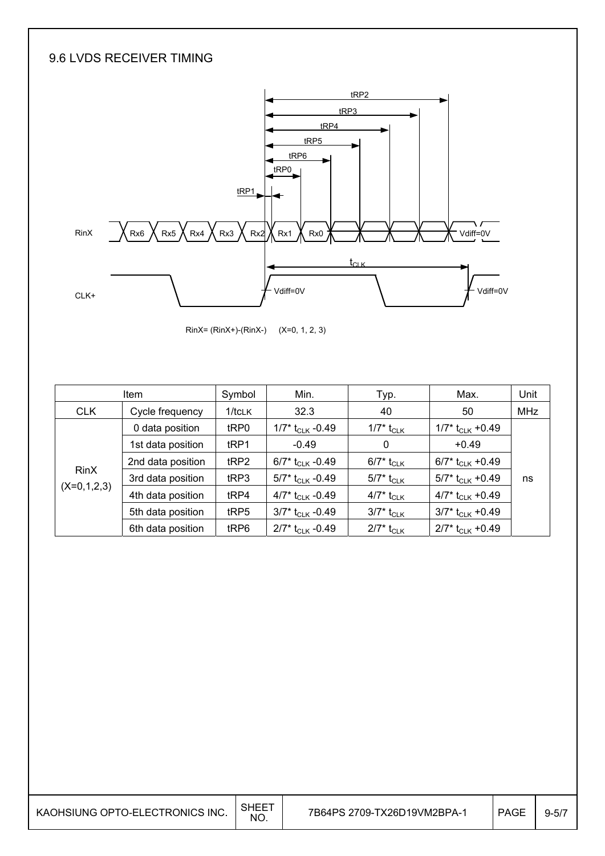#### 9.6 LVDS RECEIVER TIMING



RinX= (RinX+)-(RinX-) (X=0, 1, 2, 3)

| <b>Item</b>   |                   | Min.<br>Symbol |                                | Typ.                     | Max.                           | Unit       |
|---------------|-------------------|----------------|--------------------------------|--------------------------|--------------------------------|------------|
| <b>CLK</b>    | Cycle frequency   | $1/t$ CLK      | 32.3                           | 40                       | 50                             | <b>MHz</b> |
|               | 0 data position   | tRP0           | 1/7* $t_{CLK}$ -0.49           | $1/7^*$ t <sub>CLK</sub> | $1/7$ * t <sub>CLK</sub> +0.49 |            |
|               | 1st data position | tRP1           | $-0.49$                        | 0                        | $+0.49$                        |            |
|               | 2nd data position | tRP2           | 6/7* t <sub>CLK</sub> -0.49    | 6/7* t <sub>CLK</sub>    | 6/7* $t_{CLK}$ +0.49           |            |
| <b>RinX</b>   | 3rd data position | tRP3           | 5/7* $t_{CLK}$ -0.49           | 5/7* t <sub>CLK</sub>    | 5/7* t <sub>CLK</sub> +0.49    | ns         |
| $(X=0,1,2,3)$ | 4th data position | tRP4           | 4/7* $t_{\rm CLK}$ -0.49       | 4/7* t <sub>CLK</sub>    | 4/7* $t_{CLK}$ +0.49           |            |
|               | 5th data position | tRP5           | $3/7$ * t <sub>CLK</sub> -0.49 | 3/7* t <sub>CLK</sub>    | $3/7$ * t <sub>CLK</sub> +0.49 |            |
|               | 6th data position | tRP6           | $2/7$ * t <sub>CLK</sub> -0.49 | $2/7^*$ t <sub>CLK</sub> | $2/7$ * t <sub>CLK</sub> +0.49 |            |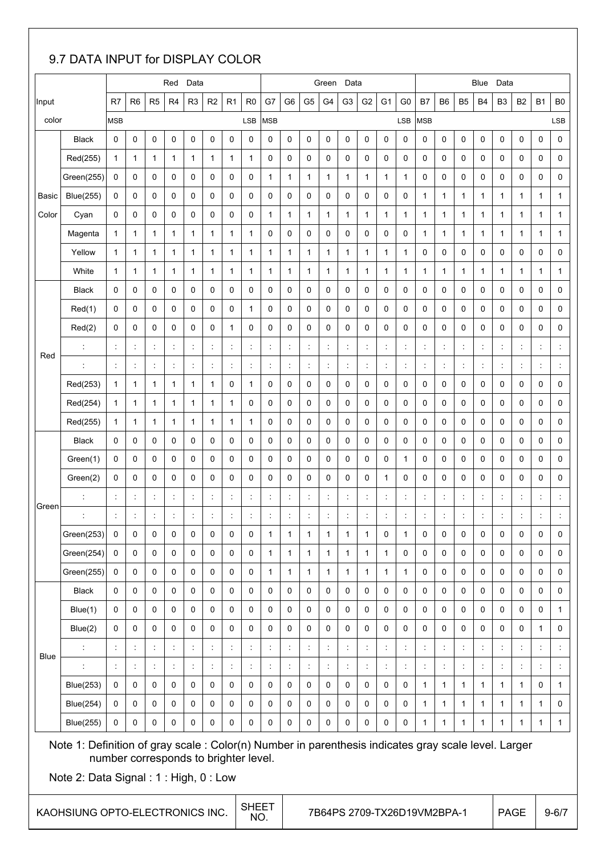#### 9.7 DATA INPUT for DISPLAY COLOR

|       |                                                                                                                                              |                      |                      |                      | Red                  | Data                 |                      |                      |                                       |                      |                      |                      | Green                       | Data                 |                      |                      |                      |                      |                      |                      | Blue                 | Data                 |                      |                      |                      |
|-------|----------------------------------------------------------------------------------------------------------------------------------------------|----------------------|----------------------|----------------------|----------------------|----------------------|----------------------|----------------------|---------------------------------------|----------------------|----------------------|----------------------|-----------------------------|----------------------|----------------------|----------------------|----------------------|----------------------|----------------------|----------------------|----------------------|----------------------|----------------------|----------------------|----------------------|
| Input |                                                                                                                                              | R7                   | R <sub>6</sub>       | R <sub>5</sub>       | R <sub>4</sub>       | R <sub>3</sub>       | R <sub>2</sub>       | R1                   | R <sub>0</sub>                        | G7                   | G6                   | G <sub>5</sub>       | G4                          | G <sub>3</sub>       | G <sub>2</sub>       | G <sub>1</sub>       | G <sub>0</sub>       | <b>B7</b>            | B6                   | B <sub>5</sub>       | <b>B4</b>            | B <sub>3</sub>       | <b>B2</b>            | <b>B1</b>            | B <sub>0</sub>       |
| color |                                                                                                                                              | <b>MSB</b>           |                      |                      |                      |                      |                      |                      | LSB                                   | <b>MSB</b>           |                      |                      |                             |                      |                      |                      | LSB                  | <b>MSB</b>           |                      |                      |                      |                      |                      |                      | LSB                  |
|       | <b>Black</b>                                                                                                                                 | 0                    | 0                    | 0                    | $\mathbf 0$          | 0                    | 0                    | 0                    | 0                                     | 0                    | 0                    | 0                    | $\mathbf 0$                 | 0                    | 0                    | 0                    | 0                    | 0                    | 0                    | 0                    | 0                    | 0                    | 0                    | 0                    | $\pmb{0}$            |
|       | Red(255)                                                                                                                                     | 1                    | 1                    | $\mathbf{1}$         | 1                    | 1                    | $\mathbf{1}$         | 1                    | 1                                     | 0                    | 0                    | 0                    | 0                           | 0                    | 0                    | $\mathbf 0$          | 0                    | 0                    | 0                    | 0                    | 0                    | 0                    | 0                    | 0                    | 0                    |
|       | Green(255)                                                                                                                                   | 0                    | 0                    | 0                    | 0                    | 0                    | 0                    | 0                    | 0                                     | $\mathbf{1}$         | $\mathbf 1$          | 1                    | 1                           | 1                    | $\mathbf{1}$         | 1                    | $\mathbf{1}$         | 0                    | 0                    | 0                    | 0                    | 0                    | 0                    | 0                    | 0                    |
| Basic | <b>Blue(255)</b>                                                                                                                             | 0                    | 0                    | 0                    | 0                    | 0                    | 0                    | 0                    | 0                                     | 0                    | 0                    | 0                    | 0                           | 0                    | 0                    | 0                    | 0                    | $\mathbf{1}$         | 1                    | $\mathbf{1}$         | 1                    | $\mathbf{1}$         | 1                    | 1                    | $\mathbf{1}$         |
| Color | Cyan                                                                                                                                         | 0                    | 0                    | 0                    | 0                    | 0                    | 0                    | 0                    | 0                                     | $\mathbf{1}$         | 1                    | 1                    | 1                           | 1                    | 1                    | $\mathbf{1}$         | 1                    | $\mathbf{1}$         | 1                    | 1                    | 1                    | $\mathbf{1}$         | 1                    | 1                    | $\mathbf 1$          |
|       | Magenta                                                                                                                                      | $\mathbf{1}$         | 1                    | $\mathbf{1}$         | 1                    | 1                    | 1                    | 1                    | 1                                     | 0                    | 0                    | 0                    | 0                           | 0                    | 0                    | $\mathbf 0$          | 0                    | $\mathbf 1$          | 1                    | 1                    | 1                    | $\mathbf{1}$         | 1                    | 1                    | $\mathbf 1$          |
|       | Yellow                                                                                                                                       | 1                    | 1                    | $\mathbf{1}$         | 1                    | 1                    | 1                    | 1                    | 1                                     | 1                    | 1                    | 1                    | $\mathbf{1}$                | 1                    | 1                    | 1                    | 1                    | 0                    | 0                    | 0                    | 0                    | 0                    | 0                    | 0                    | 0                    |
|       | White                                                                                                                                        | 1                    | 1                    | $\mathbf{1}$         | 1                    | 1                    | $\mathbf{1}$         | 1                    | 1                                     | $\mathbf{1}$         | $\mathbf 1$          | 1                    | 1                           | 1                    | 1                    | $\mathbf{1}$         | 1                    | 1                    | 1                    | 1                    | 1                    | $\mathbf{1}$         | 1                    | 1                    | 1                    |
|       | <b>Black</b>                                                                                                                                 | 0                    | 0                    | 0                    | 0                    | 0                    | 0                    | 0                    | 0                                     | 0                    | 0                    | 0                    | 0                           | 0                    | 0                    | 0                    | 0                    | 0                    | 0                    | 0                    | 0                    | 0                    | 0                    | 0                    | 0                    |
|       | Red(1)                                                                                                                                       | 0                    | 0                    | 0                    | 0                    | 0                    | 0                    | 0                    | 1                                     | 0                    | 0                    | 0                    | 0                           | 0                    | 0                    | 0                    | 0                    | 0                    | 0                    | 0                    | 0                    | 0                    | 0                    | 0                    | 0                    |
|       | Red(2)                                                                                                                                       | 0                    | 0                    | 0                    | 0                    | 0                    | 0                    | 1                    | $\mathbf 0$                           | 0                    | 0                    | 0                    | 0                           | 0                    | 0                    | 0                    | 0                    | 0                    | 0                    | 0                    | 0                    | 0                    | 0                    | 0                    | 0                    |
| Red   | ÷                                                                                                                                            | ÷                    | $\cdot$              | ÷                    | ÷                    | t                    | ÷                    | $\ddot{\phantom{a}}$ | t                                     | $\ddot{\phantom{a}}$ | $\ddot{\phantom{a}}$ | ÷                    | ÷                           | $\ddot{\cdot}$       | $\ddot{\phantom{a}}$ | t                    | $\ddot{\phantom{a}}$ | $\ddot{\phantom{a}}$ | $\ddot{\phantom{a}}$ | $\ddot{\phantom{a}}$ | $\ddot{\cdot}$       | $\ddot{\phantom{a}}$ | $\ddot{\phantom{a}}$ | ÷                    | $\ddot{\cdot}$       |
|       | $\ddot{\cdot}$                                                                                                                               | $\ddot{\cdot}$       | $\ddot{\phantom{a}}$ | ÷                    | $\ddot{\cdot}$       | $\ddot{\phantom{a}}$ | $\ddot{\phantom{a}}$ | $\ddot{\cdot}$       | ċ                                     | t                    | $\ddot{\cdot}$       | ċ                    | ÷                           | $\ddot{\cdot}$       | $\ddot{\cdot}$       | $\ddot{\phantom{a}}$ | $\ddot{\phantom{a}}$ | $\ddot{\cdot}$       | $\ddot{.}$           | $\ddot{\phantom{a}}$ | $\ddot{\cdot}$       | $\ddot{\phantom{a}}$ | $\ddot{\phantom{a}}$ | $\ddot{\phantom{a}}$ | $\ddot{\cdot}$       |
|       | Red(253)                                                                                                                                     | 1                    | 1                    | $\mathbf{1}$         | 1                    | 1                    | 1                    | 0                    | 1                                     | 0                    | 0                    | 0                    | 0                           | 0                    | 0                    | 0                    | 0                    | 0                    | 0                    | 0                    | 0                    | 0                    | 0                    | 0                    | 0                    |
|       | Red(254)                                                                                                                                     | 1                    | 1                    | 1                    | 1                    | 1                    | 1                    | 1                    | 0                                     | 0                    | 0                    | 0                    | $\mathbf 0$                 | 0                    | 0                    | $\mathbf 0$          | 0                    | 0                    | 0                    | 0                    | 0                    | 0                    | 0                    | 0                    | 0                    |
|       | Red(255)                                                                                                                                     | 1                    | 1                    | $\mathbf{1}$         | 1                    | 1                    | 1                    | 1                    | 1                                     | 0                    | 0                    | 0                    | 0                           | 0                    | 0                    | 0                    | 0                    | 0                    | 0                    | 0                    | 0                    | 0                    | 0                    | 0                    | 0                    |
|       | <b>Black</b>                                                                                                                                 | 0                    | 0                    | 0                    | 0                    | 0                    | 0                    | 0                    | 0                                     | 0                    | 0                    | 0                    | 0                           | 0                    | 0                    | 0                    | 0                    | 0                    | 0                    | 0                    | 0                    | 0                    | 0                    | 0                    | 0                    |
|       | Green(1)                                                                                                                                     | 0                    | 0                    | 0                    | 0                    | 0                    | 0                    | 0                    | 0                                     | 0                    | 0                    | 0                    | 0                           | 0                    | 0                    | 0                    | 1                    | 0                    | 0                    | 0                    | 0                    | 0                    | 0                    | 0                    | 0                    |
|       | Green(2)                                                                                                                                     | 0                    | 0                    | 0                    | 0                    | 0                    | 0                    | 0                    | 0                                     | 0                    | 0                    | 0                    | 0                           | 0                    | 0                    | $\mathbf{1}$         | 0                    | 0                    | 0                    | 0                    | 0                    | 0                    | 0                    | 0                    | 0                    |
| Green |                                                                                                                                              | t                    | $\ddot{\cdot}$       | $\ddot{\phantom{a}}$ | $\ddot{\phantom{a}}$ | $\ddot{\cdot}$       | $\ddot{\phantom{a}}$ | $\ddot{\phantom{a}}$ | ÷                                     |                      | $\ddot{\phantom{a}}$ | $\ddot{\cdot}$       | ÷                           | $\ddot{\phantom{a}}$ | $\ddot{\phantom{a}}$ | t                    | $\ddot{\cdot}$       | $\ddot{\phantom{a}}$ | $\ddot{\phantom{a}}$ | $\ddot{\phantom{a}}$ | $\ddot{.}$           | $\ddot{\phantom{a}}$ |                      | $\ddot{\cdot}$       | $\ddot{\phantom{a}}$ |
|       |                                                                                                                                              | ÷                    |                      | ÷                    | ÷                    | $\ddot{\cdot}$       | ÷                    | ÷                    | $\ddot{\phantom{a}}$                  |                      | $\ddot{\phantom{a}}$ |                      |                             |                      | $\ddot{\cdot}$       |                      |                      | $\ddot{\cdot}$       |                      |                      | ÷                    | $\ddot{\phantom{a}}$ |                      | ÷                    |                      |
|       | Green(253)                                                                                                                                   | 0                    | 0                    | 0                    | $\pmb{0}$            | 0                    | 0                    | 0                    | 0                                     | 1                    | 1                    | 1                    | 1                           | 1                    | $\mathbf{1}$         | $\pmb{0}$            | 1                    | 0                    | 0                    | 0                    | 0                    | 0                    | 0                    | 0                    | $\pmb{0}$            |
|       | Green(254)                                                                                                                                   | 0                    | 0                    | 0                    | 0                    | $\mathbf 0$          | 0                    | 0                    | 0                                     | $\mathbf{1}$         | $\mathbf{1}$         | $\mathbf{1}$         | $\mathbf{1}$                | $\mathbf{1}$         | $\mathbf{1}$         | $\mathbf{1}$         | 0                    | 0                    | $\mathbf 0$          | 0                    | 0                    | $\mathbf 0$          | 0                    | 0                    | 0                    |
|       | Green(255)                                                                                                                                   | $\mathbf 0$          | 0                    | 0                    | $\pmb{0}$            | 0                    | 0                    | 0                    | 0                                     | $\mathbf{1}$         | $\mathbf{1}$         | $\mathbf{1}$         | $\mathbf{1}$                | $\mathbf{1}$         | $\mathbf{1}$         | $\mathbf{1}$         | $\mathbf{1}$         | 0                    | $\mathbf 0$          | 0                    | 0                    | $\mathbf 0$          | 0                    | 0                    | $\mathbf 0$          |
|       | <b>Black</b>                                                                                                                                 | 0                    | 0                    | 0                    | 0                    | $\pmb{0}$            | 0                    | 0                    | 0                                     | 0                    | $\pmb{0}$            | $\mathbf 0$          | $\mathbf 0$                 | 0                    | 0                    | $\mathbf 0$          | $\pmb{0}$            | 0                    | $\mathbf 0$          | 0                    | 0                    | $\mathbf 0$          | 0                    | 0                    | $\mathsf{O}\xspace$  |
|       | Blue(1)                                                                                                                                      | 0                    | 0                    | 0                    | $\mathbf 0$          | 0                    | 0                    | 0                    | 0                                     | 0                    | 0                    | $\mathbf 0$          | $\mathbf 0$                 | 0                    | 0                    | $\mathbf 0$          | $\mathbf 0$          | 0                    | $\mathbf 0$          | 0                    | 0                    | 0                    | $\mathbf 0$          | 0                    | $\mathbf{1}$         |
|       | Blue(2)                                                                                                                                      | $\mathbf 0$          | 0                    | $\mathbf 0$          | $\mathbf 0$          | $\pmb{0}$            | 0                    | $\mathbf 0$          | 0                                     | $\Omega$             | 0                    | $\mathbf 0$          | $\Omega$                    | 0                    | 0                    | $\mathbf 0$          | 0                    | 0                    | $\mathbf 0$          | 0                    | 0                    | $\mathbf 0$          | $\mathbf 0$          | $\mathbf{1}$         | $\mathbf 0$          |
| Blue  |                                                                                                                                              | $\ddot{\cdot}$       | $\ddot{\cdot}$       | $\ddot{\phantom{a}}$ | $\ddot{\phantom{a}}$ | $\ddot{\cdot}$       | $\ddot{\phantom{a}}$ | $\ddot{\cdot}$       | $\ddot{\cdot}$                        | t.                   | $\ddot{\phantom{a}}$ | $\ddot{\phantom{a}}$ | $\ddot{\phantom{a}}$        | $\ddot{\phantom{a}}$ | $\ddot{\cdot}$       | t,                   | $\ddot{\phantom{a}}$ | $\vdots$             | $\ddot{\phantom{a}}$ | İ                    | $\vdots$             | $\ddot{\phantom{a}}$ |                      | İ,                   | $\ddot{\cdot}$       |
|       |                                                                                                                                              | $\ddot{\phantom{a}}$ | $\ddot{\cdot}$       | ÷                    | ÷                    | $\ddot{\cdot}$       | ÷                    | ÷                    | $\ddot{\cdot}$                        | $\ddot{\phantom{a}}$ | $\ddot{\phantom{a}}$ | $\ddot{\cdot}$       | ÷                           | $\ddot{\phantom{a}}$ | $\ddot{\cdot}$       | ÷                    | $\ddot{\cdot}$       | $\ddot{\cdot}$       | $\ddot{\phantom{a}}$ | t                    | $\ddot{\phantom{a}}$ | ÷                    |                      | $\ddot{\phantom{a}}$ | $\ddot{\cdot}$       |
|       | <b>Blue(253)</b>                                                                                                                             | 0                    | 0                    | 0                    | $\mathbf 0$          | 0                    | 0                    | 0                    | 0                                     | 0                    | 0                    | 0                    | $\mathbf 0$                 | 0                    | 0                    | 0                    | 0                    | $\mathbf{1}$         | $\mathbf{1}$         | 1                    | $\mathbf{1}$         | $\mathbf{1}$         | 1                    | 0                    | $\mathbf{1}$         |
|       | <b>Blue(254)</b>                                                                                                                             | 0                    | 0                    | 0                    | 0                    | 0                    | 0                    | 0                    | 0                                     | 0                    | $\mathbf 0$          | $\mathbf 0$          | 0                           | 0                    | 0                    | $\mathbf 0$          | 0                    | $\mathbf{1}$         | $\mathbf{1}$         | $\mathbf{1}$         | $\mathbf{1}$         | $\mathbf{1}$         | $\mathbf{1}$         | 1                    | 0                    |
|       | <b>Blue(255)</b>                                                                                                                             | 0                    | 0                    | 0                    | 0                    | 0                    | 0                    | 0                    | 0                                     | 0                    | 0                    | 0                    | 0                           | 0                    | 0                    | 0                    | 0                    | $\mathbf{1}$         | $\mathbf{1}$         | 1                    | $\mathbf{1}$         | $\mathbf{1}$         | 1                    | 1                    | $\mathbf{1}$         |
|       | Note 1: Definition of gray scale : Color(n) Number in parenthesis indicates gray scale level. Larger<br>Note 2: Data Signal: 1: High, 0: Low |                      |                      |                      |                      |                      |                      |                      | number corresponds to brighter level. |                      |                      |                      |                             |                      |                      |                      |                      |                      |                      |                      |                      |                      |                      |                      |                      |
|       | KAOHSIUNG OPTO-ELECTRONICS INC.                                                                                                              |                      |                      |                      |                      |                      |                      |                      | <b>SHEET</b><br>NO.                   |                      |                      |                      | 7B64PS 2709-TX26D19VM2BPA-1 |                      |                      |                      |                      |                      |                      |                      |                      | <b>PAGE</b>          |                      |                      | $9 - 6/7$            |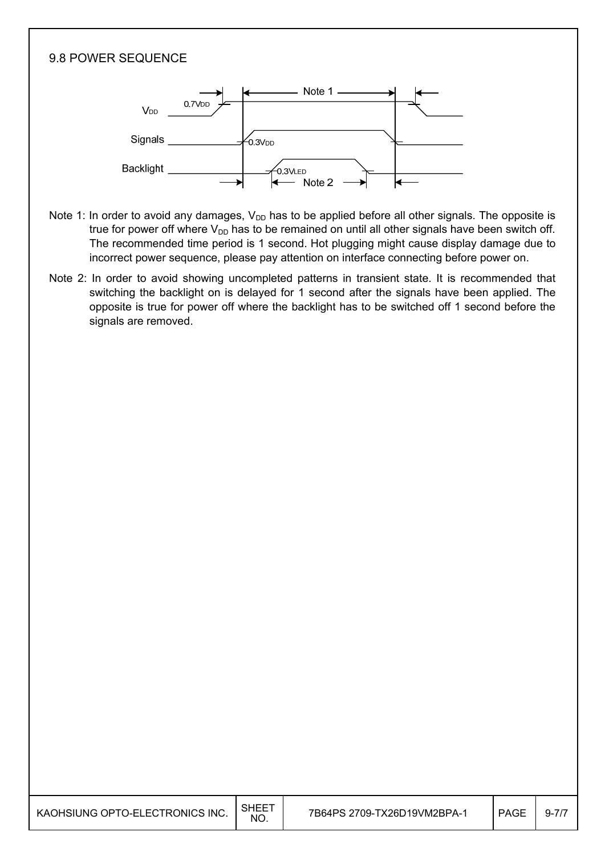#### 9.8 POWER SEQUENCE



- Note 1: In order to avoid any damages,  $V_{DD}$  has to be applied before all other signals. The opposite is true for power off where  $V_{DD}$  has to be remained on until all other signals have been switch off. The recommended time period is 1 second. Hot plugging might cause display damage due to incorrect power sequence, please pay attention on interface connecting before power on.
- Note 2: In order to avoid showing uncompleted patterns in transient state. It is recommended that switching the backlight on is delayed for 1 second after the signals have been applied. The opposite is true for power off where the backlight has to be switched off 1 second before the signals are removed.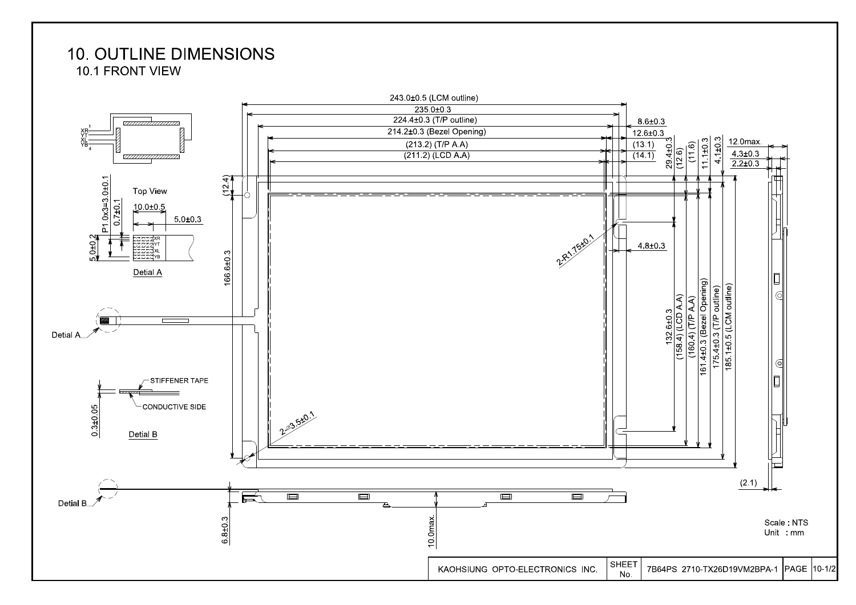#### **10. OUTLINE DIMENSIONS** 10.1 FRONT VIEW

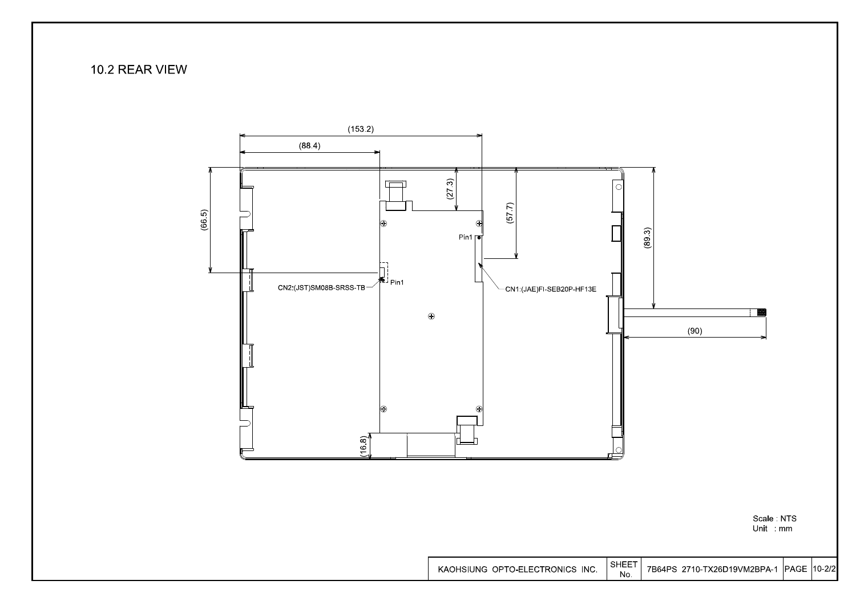#### 10.2 REAR VIEW



Scale NTS<br>Unit mm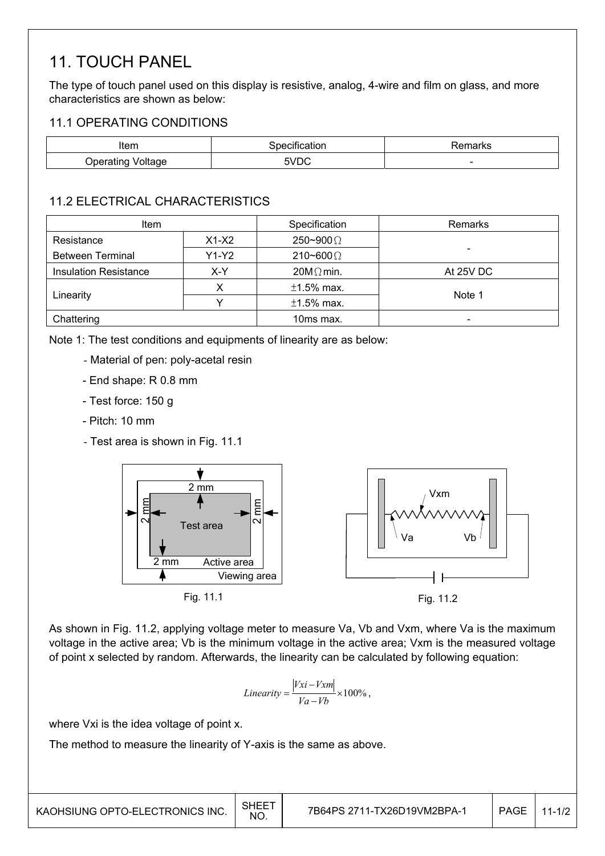### 11. TOUCH PANEL

The type of touch panel used on this display is resistive, analog, 4-wire and film on glass, and more characteristics are shown as below:

#### 11.1 OPERATING CONDITIONS

| Item                            | эшсаног | 'emarks                  |
|---------------------------------|---------|--------------------------|
| /oltage<br>u Inera<br>.<br>.uno | 5VDC    | $\overline{\phantom{a}}$ |

#### 11.2 ELECTRICAL CHARACTERISTICS

| <b>Item</b>                         |  | Specification    | Remarks                      |  |  |
|-------------------------------------|--|------------------|------------------------------|--|--|
| $X1-X2$<br>Resistance               |  | 250~900 $\Omega$ |                              |  |  |
| <b>Between Terminal</b><br>$Y1-Y2$  |  | 210~600 $\Omega$ |                              |  |  |
| <b>Insulation Resistance</b><br>X-Y |  | $20M\Omega$ min. | At 25V DC                    |  |  |
|                                     |  | $±1.5\%$ max.    |                              |  |  |
| Linearity                           |  | $±1.5\%$ max.    | Note 1                       |  |  |
| Chattering                          |  | 10ms max.        | $\qquad \qquad \blacksquare$ |  |  |

Note 1: The test conditions and equipments of linearity are as below:

- Material of pen: poly-acetal resin
- End shape: R 0.8 mm
- Test force: 150 g
- Pitch: 10 mm
- Test area is shown in Fig. 11.1



As shown in Fig. 11.2, applying voltage meter to measure Va, Vb and Vxm, where Va is the maximum voltage in the active area; Vb is the minimum voltage in the active area; Vxm is the measured voltage of point x selected by random. Afterwards, the linearity can be calculated by following equation:

$$
Linearity = \frac{|Vxi - Vxm|}{Va - Vb} \times 100\%,
$$

where Vxi is the idea voltage of point x.

The method to measure the linearity of Y-axis is the same as above.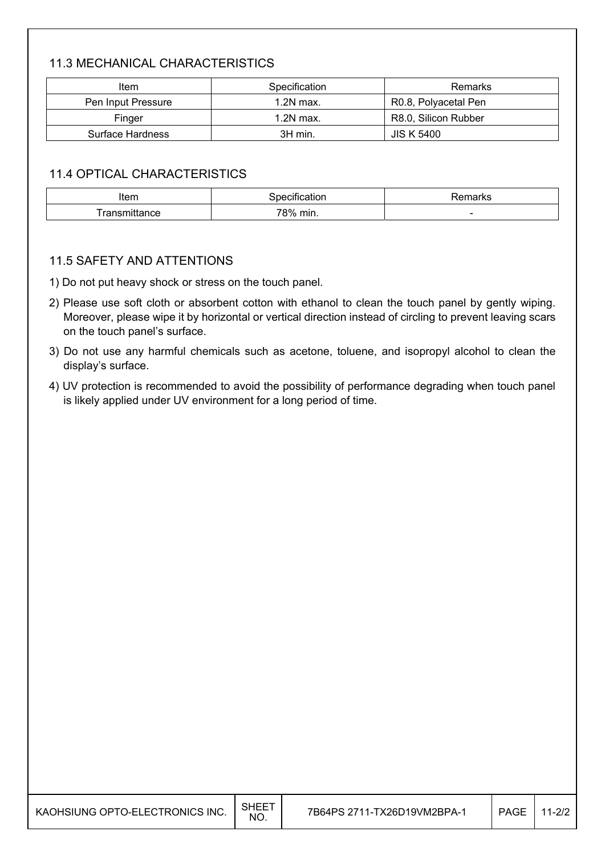#### 11.3 MECHANICAL CHARACTERISTICS

| ltem               | Specification | Remarks              |  |  |  |
|--------------------|---------------|----------------------|--|--|--|
| Pen Input Pressure | $1.2N$ max.   | R0.8, Polyacetal Pen |  |  |  |
| Finger             | $1.2N$ max.   | R8.0, Silicon Rubber |  |  |  |
| Surface Hardness   | 3H min.       | <b>JIS K 5400</b>    |  |  |  |

#### 11.4 OPTICAL CHARACTERISTICS

| Item   |                   | טווסיי "                 |
|--------|-------------------|--------------------------|
| aritit | 78%<br>min.<br>הי | $\overline{\phantom{a}}$ |

#### 11.5 SAFETY AND ATTENTIONS

1) Do not put heavy shock or stress on the touch panel.

- 2) Please use soft cloth or absorbent cotton with ethanol to clean the touch panel by gently wiping. Moreover, please wipe it by horizontal or vertical direction instead of circling to prevent leaving scars on the touch panel's surface.
- 3) Do not use any harmful chemicals such as acetone, toluene, and isopropyl alcohol to clean the display's surface.
- 4) UV protection is recommended to avoid the possibility of performance degrading when touch panel is likely applied under UV environment for a long period of time.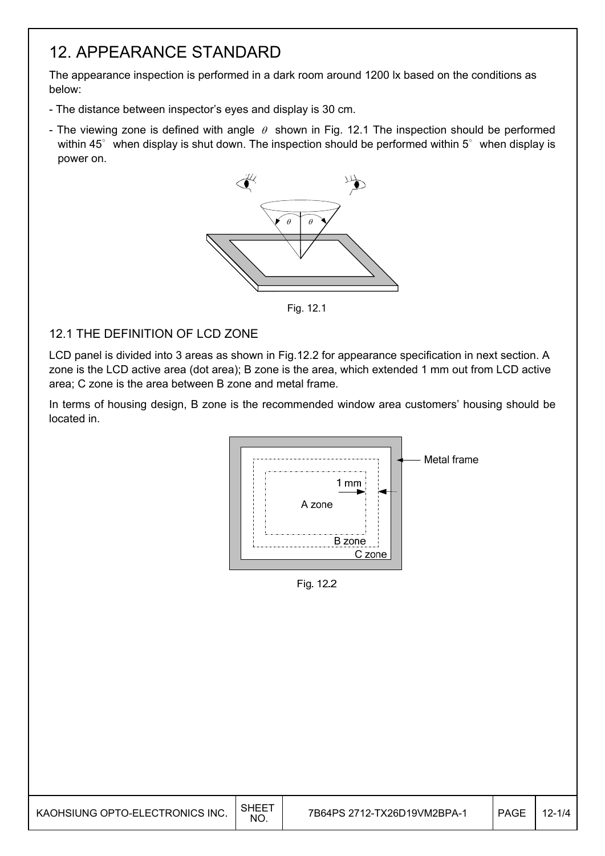### 12. APPEARANCE STANDARD

The appearance inspection is performed in a dark room around 1200 lx based on the conditions as below:

- The distance between inspector's eyes and display is 30 cm.
- The viewing zone is defined with angle  $\theta$  shown in Fig. 12.1 The inspection should be performed within  $45^\circ$  when display is shut down. The inspection should be performed within  $5^\circ$  when display is power on.



Fig. 12.1

#### 12.1 THE DEFINITION OF LCD ZONE

LCD panel is divided into 3 areas as shown in Fig.12.2 for appearance specification in next section. A zone is the LCD active area (dot area); B zone is the area, which extended 1 mm out from LCD active area; C zone is the area between B zone and metal frame.

In terms of housing design, B zone is the recommended window area customers' housing should be located in.



Fig. 12.2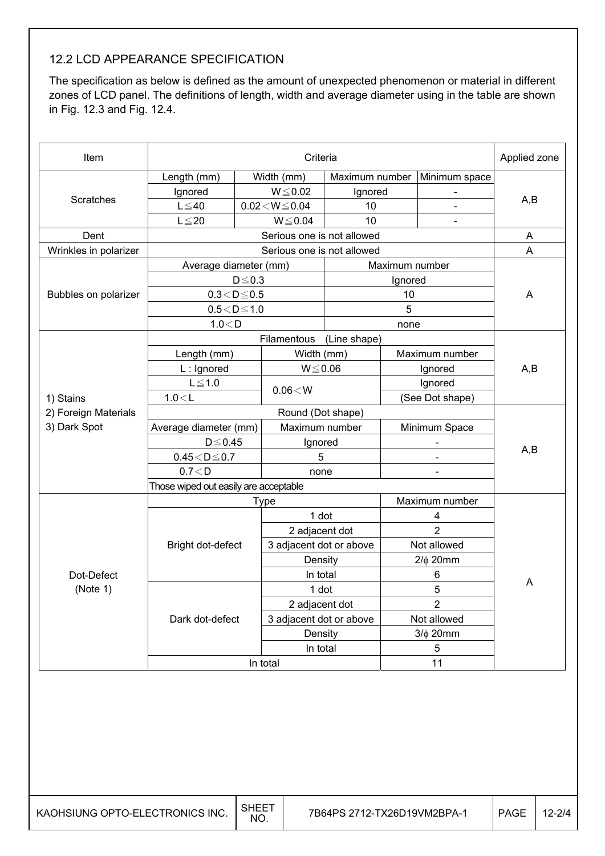#### 12.2 LCD APPEARANCE SPECIFICATION

The specification as below is defined as the amount of unexpected phenomenon or material in different zones of LCD panel. The definitions of length, width and average diameter using in the table are shown in Fig. 12.3 and Fig. 12.4.

| Item                  |                        |                                       | Criteria                 |                |                |                          | Applied zone |  |  |
|-----------------------|------------------------|---------------------------------------|--------------------------|----------------|----------------|--------------------------|--------------|--|--|
|                       | Length (mm)            |                                       | Width (mm)               | Maximum number |                | Minimum space            |              |  |  |
|                       | Ignored                |                                       | $W \le 0.02$             | Ignored        |                |                          |              |  |  |
| Scratches             | $L \leq 40$            |                                       | $0.02\!<\!W\!\leq\!0.04$ | 10             |                |                          | A,B          |  |  |
|                       | $L \leq 20$            |                                       | $W \le 0.04$             | 10             |                |                          |              |  |  |
| Dent                  |                        |                                       | A                        |                |                |                          |              |  |  |
| Wrinkles in polarizer |                        | Serious one is not allowed            |                          |                |                |                          |              |  |  |
|                       | Average diameter (mm)  |                                       |                          |                | Maximum number |                          |              |  |  |
|                       |                        | $D \le 0.3$                           |                          |                | Ignored        |                          |              |  |  |
| Bubbles on polarizer  | $0.3\!<\!D\!\leq\!0.5$ |                                       |                          |                | 10             |                          | A            |  |  |
|                       | $0.5\!<\!D\!\leq\!1.0$ |                                       |                          |                | $\overline{5}$ |                          |              |  |  |
|                       | 1.0 < D                |                                       |                          |                | none           |                          |              |  |  |
|                       |                        |                                       | Filamentous              | (Line shape)   |                |                          |              |  |  |
|                       | Length (mm)            |                                       | Width (mm)               |                |                | Maximum number           |              |  |  |
|                       | L: Ignored             |                                       | $W \le 0.06$             |                |                | Ignored                  | A,B          |  |  |
|                       | $L \leq 1.0$           |                                       | $0.06\!<\!W$             |                |                | Ignored                  |              |  |  |
| 1) Stains             | 1.0 < L                |                                       |                          |                |                | (See Dot shape)          |              |  |  |
| 2) Foreign Materials  |                        |                                       | Round (Dot shape)        |                |                |                          |              |  |  |
| 3) Dark Spot          | Average diameter (mm)  |                                       | Maximum number           |                |                | Minimum Space            |              |  |  |
|                       | $D \le 0.45$           |                                       | Ignored                  |                |                | $\overline{\phantom{a}}$ | A,B          |  |  |
|                       | $0.45<\!D\!\leq\!0.7$  |                                       | 5                        |                | $\mathbf{r}$   |                          |              |  |  |
|                       | 0.7 < D                |                                       | none                     |                |                |                          |              |  |  |
|                       |                        | Those wiped out easily are acceptable |                          |                |                |                          |              |  |  |
|                       |                        |                                       | <b>Type</b>              |                |                | Maximum number           |              |  |  |
|                       |                        |                                       | 1 dot                    |                |                | 4                        |              |  |  |
|                       |                        |                                       | 2 adjacent dot           |                |                | $\overline{2}$           |              |  |  |
|                       | Bright dot-defect      |                                       | 3 adjacent dot or above  |                |                | Not allowed              |              |  |  |
|                       |                        |                                       | Density                  |                |                | $2/\phi$ 20mm            |              |  |  |
| Dot-Defect            |                        |                                       | In total                 |                |                | 6                        | Α            |  |  |
| (Note 1)              |                        |                                       | 1 dot                    |                |                | 5                        |              |  |  |
|                       |                        |                                       | 2 adjacent dot           |                |                | $\overline{2}$           |              |  |  |
|                       | Dark dot-defect        |                                       | 3 adjacent dot or above  |                |                | Not allowed              |              |  |  |
|                       |                        |                                       | Density                  |                |                | $3/\phi$ 20mm            |              |  |  |
|                       |                        |                                       | In total                 |                |                | $\sqrt{5}$               |              |  |  |
|                       |                        |                                       | In total                 |                |                | 11                       |              |  |  |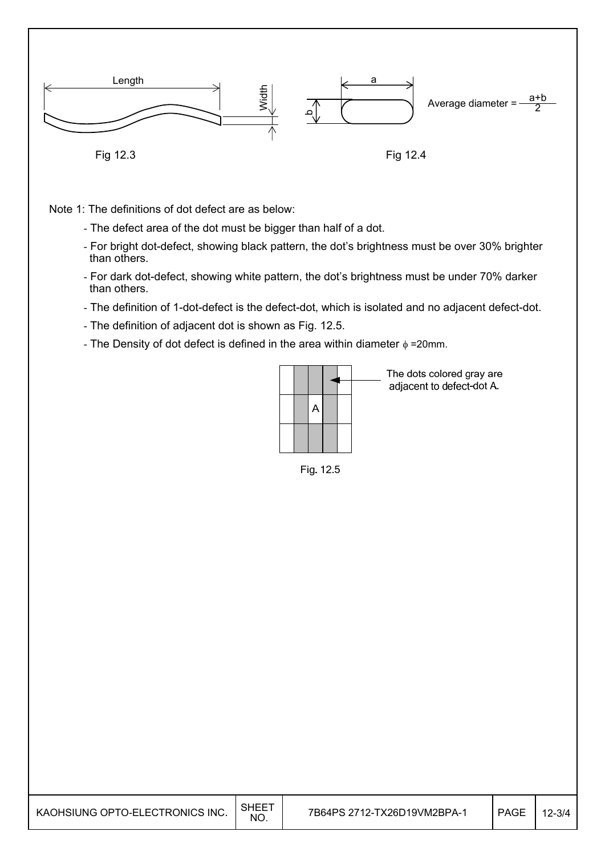

Note 1: The definitions of dot defect are as below:

- The defect area of the dot must be bigger than half of a dot.
- For bright dot-defect, showing black pattern, the dot's brightness must be over 30% brighter than others.
- For dark dot-defect, showing white pattern, the dot's brightness must be under 70% darker than others.
- The definition of 1-dot-defect is the defect-dot, which is isolated and no adjacent defect-dot.
- The definition of adjacent dot is shown as Fig. 12.5.
- The Density of dot defect is defined in the area within diameter  $\phi$  =20mm.



The dots colored gray are adjacent to defect-dot A.

Fig. 12.5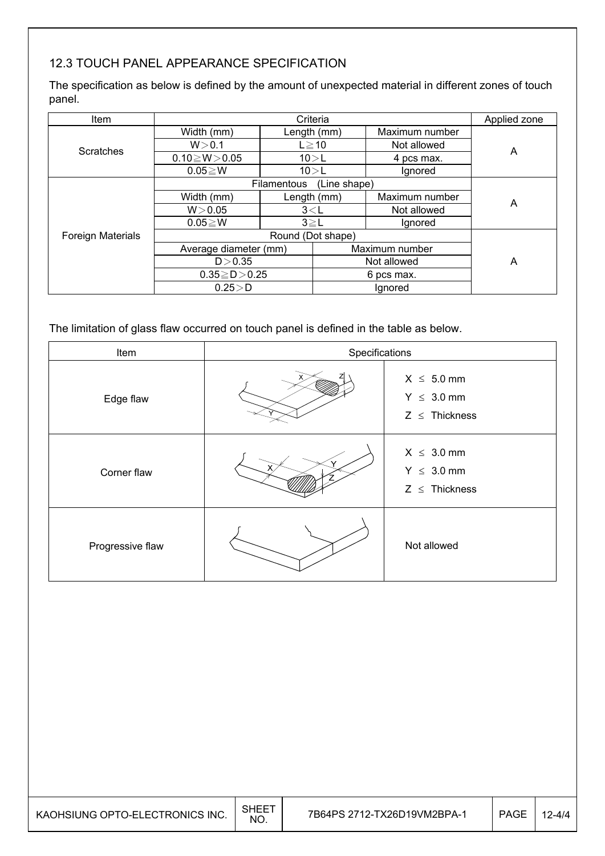#### 12.3 TOUCH PANEL APPEARANCE SPECIFICATION

The specification as below is defined by the amount of unexpected material in different zones of touch panel.

| <b>Item</b>              |                       | Criteria                           |             |                |   |  |  |  |  |
|--------------------------|-----------------------|------------------------------------|-------------|----------------|---|--|--|--|--|
|                          | Width (mm)            | Length (mm)                        |             | Maximum number |   |  |  |  |  |
| <b>Scratches</b>         | W > 0.1<br>$L \ge 10$ |                                    |             | Not allowed    | Α |  |  |  |  |
|                          | $0.10 \ge W > 0.05$   |                                    | 10>L        | 4 pcs max.     |   |  |  |  |  |
|                          | $0.05 \geq W$         | 10 > L                             |             | Ignored        |   |  |  |  |  |
|                          |                       | (Line shape)<br><b>Filamentous</b> |             |                |   |  |  |  |  |
|                          | Width (mm)            |                                    | Length (mm) | Maximum number | Α |  |  |  |  |
|                          | W > 0.05              | $3<$ L                             |             | Not allowed    |   |  |  |  |  |
|                          | $0.05 \geq W$         | $3 \geq L$                         |             | lgnored        |   |  |  |  |  |
| <b>Foreign Materials</b> |                       |                                    |             |                |   |  |  |  |  |
|                          | Average diameter (mm) |                                    |             | Maximum number |   |  |  |  |  |
|                          | D > 0.35              |                                    |             | Not allowed    | Α |  |  |  |  |
|                          | $0.35 \ge D > 0.25$   |                                    |             | 6 pcs max.     |   |  |  |  |  |
|                          | $0.25\!>\!D$          |                                    |             | Ignored        |   |  |  |  |  |

The limitation of glass flaw occurred on touch panel is defined in the table as below.

| Item             | Specifications |                                                          |  |
|------------------|----------------|----------------------------------------------------------|--|
| Edge flaw        |                | $X \leq 5.0$ mm<br>$Y \leq 3.0$ mm<br>$Z \leq$ Thickness |  |
| Corner flaw      |                | $X \leq 3.0$ mm<br>$Y \leq 3.0$ mm<br>$Z \leq$ Thickness |  |
| Progressive flaw |                | Not allowed                                              |  |

| KAOHSIUNG OPTO-ELECTRONICS INC. $\Big \begin{array}{cc} \text{SHEET} \ \text{NO} \end{array}\Big $ |  |
|----------------------------------------------------------------------------------------------------|--|
|                                                                                                    |  |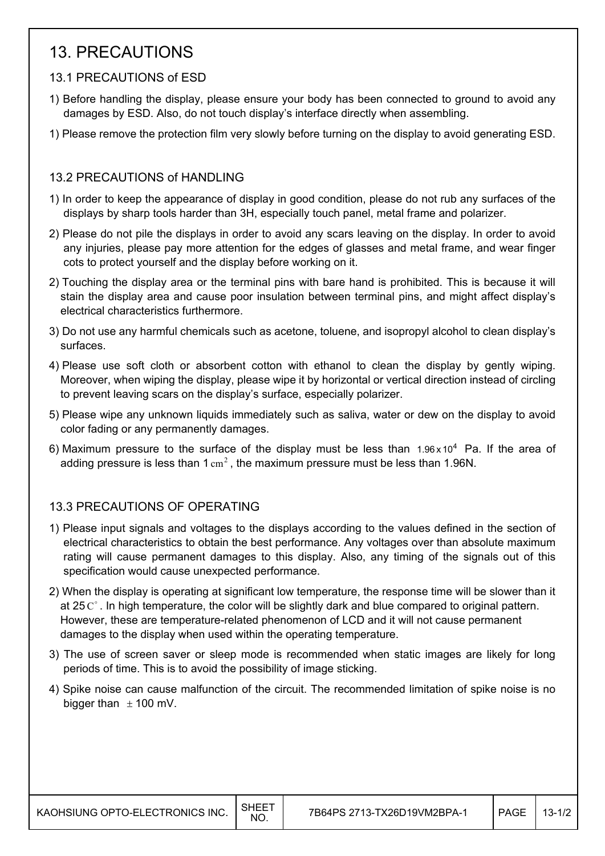### 13. PRECAUTIONS

#### 13.1 PRECAUTIONS of ESD

- 1) Before handling the display, please ensure your body has been connected to ground to avoid any damages by ESD. Also, do not touch display's interface directly when assembling.
- 1) Please remove the protection film very slowly before turning on the display to avoid generating ESD.

#### 13.2 PRECAUTIONS of HANDLING

- 1) In order to keep the appearance of display in good condition, please do not rub any surfaces of the displays by sharp tools harder than 3H, especially touch panel, metal frame and polarizer.
- 2) Please do not pile the displays in order to avoid any scars leaving on the display. In order to avoid any injuries, please pay more attention for the edges of glasses and metal frame, and wear finger cots to protect yourself and the display before working on it.
- 2) Touching the display area or the terminal pins with bare hand is prohibited. This is because it will stain the display area and cause poor insulation between terminal pins, and might affect display's electrical characteristics furthermore.
- 3) Do not use any harmful chemicals such as acetone, toluene, and isopropyl alcohol to clean display's surfaces.
- 4) Please use soft cloth or absorbent cotton with ethanol to clean the display by gently wiping. Moreover, when wiping the display, please wipe it by horizontal or vertical direction instead of circling to prevent leaving scars on the display's surface, especially polarizer.
- 5) Please wipe any unknown liquids immediately such as saliva, water or dew on the display to avoid color fading or any permanently damages.
- 6) Maximum pressure to the surface of the display must be less than  $1.96 \times 10^4$  Pa. If the area of adding pressure is less than  $1 \text{ cm}^2$ , the maximum pressure must be less than 1.96N.

#### 13.3 PRECAUTIONS OF OPERATING

- 1) Please input signals and voltages to the displays according to the values defined in the section of electrical characteristics to obtain the best performance. Any voltages over than absolute maximum rating will cause permanent damages to this display. Also, any timing of the signals out of this specification would cause unexpected performance.
- 2) When the display is operating at significant low temperature, the response time will be slower than it at 25 $C^{\circ}$ . In high temperature, the color will be slightly dark and blue compared to original pattern. However, these are temperature-related phenomenon of LCD and it will not cause permanent damages to the display when used within the operating temperature.
- 3) The use of screen saver or sleep mode is recommended when static images are likely for long periods of time. This is to avoid the possibility of image sticking.
- 4) Spike noise can cause malfunction of the circuit. The recommended limitation of spike noise is no bigger than  $\pm$  100 mV.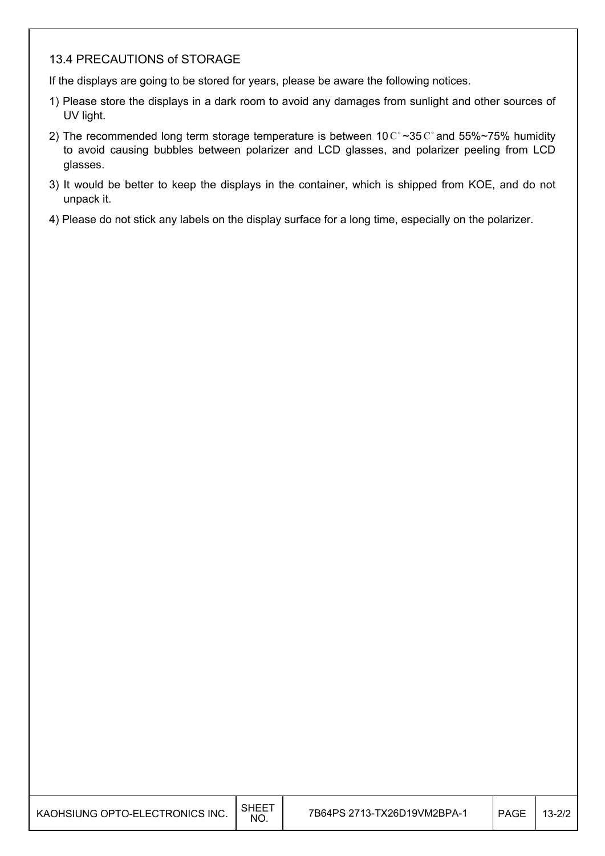#### 13.4 PRECAUTIONS of STORAGE

If the displays are going to be stored for years, please be aware the following notices.

- 1) Please store the displays in a dark room to avoid any damages from sunlight and other sources of UV light.
- 2) The recommended long term storage temperature is between 10  $\text{C}^{\circ}$  ~35  $\text{C}^{\circ}$  and 55%~75% humidity to avoid causing bubbles between polarizer and LCD glasses, and polarizer peeling from LCD glasses.
- 3) It would be better to keep the displays in the container, which is shipped from KOE, and do not unpack it.
- 4) Please do not stick any labels on the display surface for a long time, especially on the polarizer.